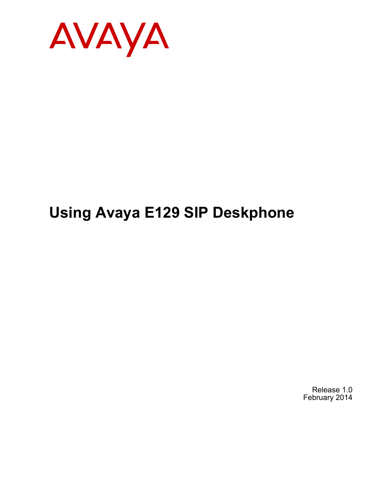

# **Using Avaya E129 SIP Deskphone**

Release 1.0 February 2014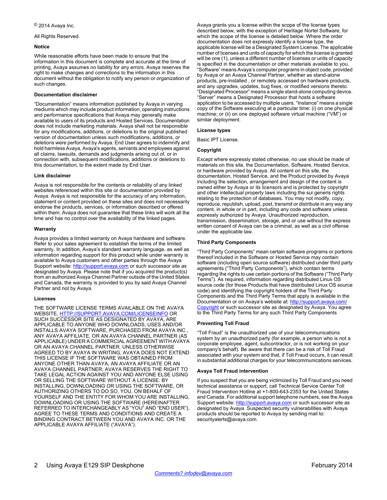<span id="page-1-0"></span>All Rights Reserved.

#### **Notice**

While reasonable efforts have been made to ensure that the information in this document is complete and accurate at the time of printing, Avaya assumes no liability for any errors. Avaya reserves the right to make changes and corrections to the information in this document without the obligation to notify any person or organization of such changes.

#### **Documentation disclaimer**

"Documentation" means information published by Avaya in varying mediums which may include product information, operating instructions and performance specifications that Avaya may generally make available to users of its products and Hosted Services. Documentation does not include marketing materials. Avaya shall not be responsible for any modifications, additions, or deletions to the original published version of documentation unless such modifications, additions, or deletions were performed by Avaya. End User agrees to indemnify and hold harmless Avaya, Avaya's agents, servants and employees against all claims, lawsuits, demands and judgments arising out of, or in connection with, subsequent modifications, additions or deletions to this documentation, to the extent made by End User.

#### **Link disclaimer**

Avaya is not responsible for the contents or reliability of any linked websites referenced within this site or documentation provided by Avaya. Avaya is not responsible for the accuracy of any information, statement or content provided on these sites and does not necessarily endorse the products, services, or information described or offered within them. Avaya does not guarantee that these links will work all the time and has no control over the availability of the linked pages.

#### **Warranty**

Avaya provides a limited warranty on Avaya hardware and software. Refer to your sales agreement to establish the terms of the limited warranty. In addition, Avaya's standard warranty language, as well as information regarding support for this product while under warranty is available to Avaya customers and other parties through the Avaya Support website: [http://support.avaya.com](http://support.avaya.com/) or such successor site as designated by Avaya. Please note that if you acquired the product(s) from an authorized Avaya Channel Partner outside of the United States and Canada, the warranty is provided to you by said Avaya Channel Partner and not by Avaya.

#### **Licenses**

THE SOFTWARE LICENSE TERMS AVAILABLE ON THE AVAYA WEBSITE, [HTTP://SUPPORT.AVAYA.COM/LICENSEINFO](http://support.avaya.com/LicenseInfo) OR SUCH SUCCESSOR SITE AS DESIGNATED BY AVAYA, ARE APPLICABLE TO ANYONE WHO DOWNLOADS, USES AND/OR INSTALLS AVAYA SOFTWARE, PURCHASED FROM AVAYA INC., ANY AVAYA AFFILIATE, OR AN AVAYA CHANNEL PARTNER (AS APPLICABLE) UNDER A COMMERCIAL AGREEMENT WITH AVAYA OR AN AVAYA CHANNEL PARTNER. UNLESS OTHERWISE AGREED TO BY AVAYA IN WRITING, AVAYA DOES NOT EXTEND THIS LICENSE IF THE SOFTWARE WAS OBTAINED FROM ANYONE OTHER THAN AVAYA, AN AVAYA AFFILIATE OR AN AVAYA CHANNEL PARTNER; AVAYA RESERVES THE RIGHT TO TAKE LEGAL ACTION AGAINST YOU AND ANYONE ELSE USING OR SELLING THE SOFTWARE WITHOUT A LICENSE. BY INSTALLING, DOWNLOADING OR USING THE SOFTWARE, OR AUTHORIZING OTHERS TO DO SO, YOU, ON BEHALF OF YOURSELF AND THE ENTITY FOR WHOM YOU ARE INSTALLING, DOWNLOADING OR USING THE SOFTWARE (HEREINAFTER REFERRED TO INTERCHANGEABLY AS "YOU" AND "END USER"), AGREE TO THESE TERMS AND CONDITIONS AND CREATE A BINDING CONTRACT BETWEEN YOU AND AVAYA INC. OR THE APPLICABLE AVAYA AFFILIATE ("AVAYA").

Avaya grants you a license within the scope of the license types described below, with the exception of Heritage Nortel Software, for which the scope of the license is detailed below. Where the order documentation does not expressly identify a license type, the applicable license will be a Designated System License. The applicable number of licenses and units of capacity for which the license is granted will be one (1), unless a different number of licenses or units of capacity is specified in the documentation or other materials available to you. "Software" means Avaya's computer programs in object code, provided by Avaya or an Avaya Channel Partner, whether as stand-alone products, pre-installed , or remotely accessed on hardware products, and any upgrades, updates, bug fixes, or modified versions thereto. "Designated Processor" means a single stand-alone computing device. "Server" means a Designated Processor that hosts a software application to be accessed by multiple users. "Instance" means a single copy of the Software executing at a particular time: (i) on one physical machine; or (ii) on one deployed software virtual machine ("VM") or similar deployment.

#### **License types**

Basic IPT License.

#### **Copyright**

Except where expressly stated otherwise, no use should be made of materials on this site, the Documentation, Software, Hosted Service, or hardware provided by Avaya. All content on this site, the documentation, Hosted Service, and the Product provided by Avaya including the selection, arrangement and design of the content is owned either by Avaya or its licensors and is protected by copyright and other intellectual property laws including the sui generis rights relating to the protection of databases. You may not modify, copy, reproduce, republish, upload, post, transmit or distribute in any way any content, in whole or in part, including any code and software unless expressly authorized by Avaya. Unauthorized reproduction, transmission, dissemination, storage, and or use without the express written consent of Avaya can be a criminal, as well as a civil offense under the applicable law.

#### **Third Party Components**

"Third Party Components" mean certain software programs or portions thereof included in the Software or Hosted Service may contain software (including open source software) distributed under third party agreements ("Third Party Components"), which contain terms regarding the rights to use certain portions of the Software ("Third Party Terms"). As required, information regarding distributed Linux OS source code (for those Products that have distributed Linux OS source code) and identifying the copyright holders of the Third Party Components and the Third Party Terms that apply is available in the Documentation or on Avaya's website at: [http://support.avaya.com/](http://support.avaya.com/Copyright) [Copyright](http://support.avaya.com/Copyright) or such successor site as designated by Avaya. You agree to the Third Party Terms for any such Third Party Components

#### **Preventing Toll Fraud**

"Toll Fraud" is the unauthorized use of your telecommunications system by an unauthorized party (for example, a person who is not a corporate employee, agent, subcontractor, or is not working on your company's behalf). Be aware that there can be a risk of Toll Fraud associated with your system and that, if Toll Fraud occurs, it can result in substantial additional charges for your telecommunications services.

#### **Avaya Toll Fraud intervention**

If you suspect that you are being victimized by Toll Fraud and you need technical assistance or support, call Technical Service Center Toll Fraud Intervention Hotline at +1-800-643-2353 for the United States and Canada. For additional support telephone numbers, see the Avaya Support website: <http://support.avaya.com> or such successor site as designated by Avaya. Suspected security vulnerabilities with Avaya products should be reported to Avaya by sending mail to: securityalerts@avaya.com.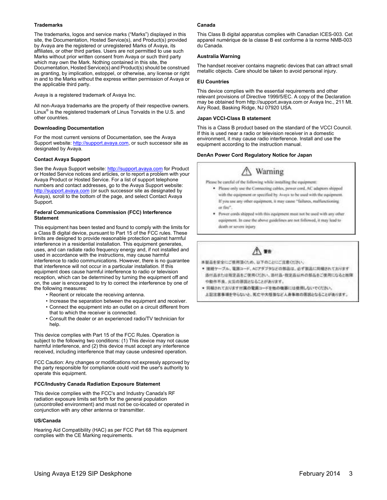#### **Trademarks**

The trademarks, logos and service marks ("Marks") displayed in this site, the Documentation, Hosted Service(s), and Product(s) provided by Avaya are the registered or unregistered Marks of Avaya, its affiliates, or other third parties. Users are not permitted to use such Marks without prior written consent from Avaya or such third party which may own the Mark. Nothing contained in this site, the Documentation, Hosted Service(s) and Product(s) should be construed as granting, by implication, estoppel, or otherwise, any license or right in and to the Marks without the express written permission of Avaya or the applicable third party.

Avaya is a registered trademark of Avaya Inc.

All non-Avaya trademarks are the property of their respective owners. Linux<sup>®</sup> is the registered trademark of Linus Torvalds in the U.S. and other countries.

#### **Downloading Documentation**

For the most current versions of Documentation, see the Avaya Support website: <http://support.avaya.com>, or such successor site as designated by Avaya.

#### **Contact Avaya Support**

See the Avaya Support website:<http://support.avaya.com>for Product or Hosted Service notices and articles, or to report a problem with your Avaya Product or Hosted Service. For a list of support telephone numbers and contact addresses, go to the Avaya Support website: <http://support.avaya.com>(or such successor site as designated by Avaya), scroll to the bottom of the page, and select Contact Avaya Support.

#### **Federal Communications Commission (FCC) Interference Statement**

This equipment has been tested and found to comply with the limits for a Class B digital device, pursuant to Part 15 of the FCC rules. These limits are designed to provide reasonable protection against harmful interference in a residential installation. This equipment generates, uses, and can radiate radio frequency energy and, if not installed and used in accordance with the instructions, may cause harmful interference to radio communications. However, there is no guarantee that interference will not occur in a particular installation. If this equipment does cause harmful interference to radio or television reception, which can be determined by turning the equipment off and on, the user is encouraged to try to correct the interference by one of the following measures:

- Reorient or relocate the receiving antenna.
- Increase the separation between the equipment and receiver.
- Connect the equipment into an outlet on a circuit different from that to which the receiver is connected.
- Consult the dealer or an experienced radio/TV technician for help.

This device complies with Part 15 of the FCC Rules. Operation is subject to the following two conditions: (1) This device may not cause harmful interference, and (2) this device must accept any interference received, including interference that may cause undesired operation.

FCC Caution: Any changes or modifications not expressly approved by the party responsible for compliance could void the user's authority to operate this equipment.

#### **FCC/Industry Canada Radiation Exposure Statement**

This device complies with the FCC's and Industry Canada's RF radiation exposure limits set forth for the general population (uncontrolled environment) and must not be co-located or operated in conjunction with any other antenna or transmitter.

#### **US/Canada**

Hearing Aid Compatibility (HAC) as per FCC Part 68 This equipment complies with the CE Marking requirements.

#### **Canada**

This Class B digital apparatus complies with Canadian ICES-003. Cet appareil numérique de la classe B est conforme à la norme NMB-003 du Canada.

#### **Australia Warning**

The handset receiver contains magnetic devices that can attract small metallic objects. Care should be taken to avoid personal injury.

#### **EU Countries**

This device complies with the essential requirements and other relevant provisions of Directive 1999/5/EC. A copy of the Declaration may be obtained from http://support.avaya.com or Avaya Inc., 211 Mt. Airy Road, Basking Ridge, NJ 07920 USA.

#### **Japan VCCI-Class B statement**

This is a Class B product based on the standard of the VCCI Council. If this is used near a radio or television receiver in a domestic environment, it may cause radio interference. Install and use the equipment according to the instruction manual.

#### **DenAn Power Cord Regulatory Notice for Japan**

### /\ Warning

Please be careful of the following while installing the equipment:

- · Please only use the Connecting cables, power cord, AC adaptors shipped with the equipment or specified by Avaya to be used with the equipment. If you use any other equipment, it may cause "failures, malfunctioning or first?
- · Pinver cords shipped with this equipment must not be used with any other equipment. In case the above guidelines are not followed, it may lead to death or severe injury.

#### ∧ ∎⊪

本製品を安全にご確用語くため、以下のことにご注意ください。

- 接続ケーブル、電源コード、ADアダプタなどの部品は、必ず製品に掲載されております 添付品または指定品をご使用ください。添付品·指定品以外の部品をご使用になると放電 や動作不良。火災の原因となることがあります。
- 同様されております付属の電源コードを他の機器には使用しないでください。
- 上記注意事項を守らないと、死亡や大怪我など人身事故の落因となることがあります。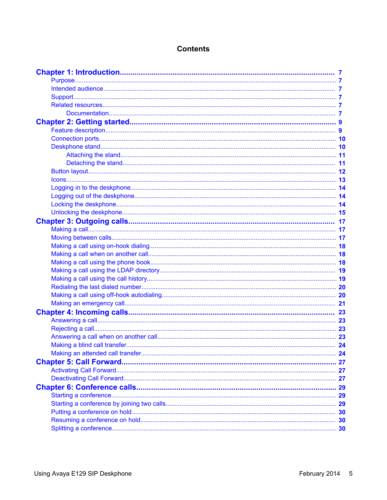#### **Contents**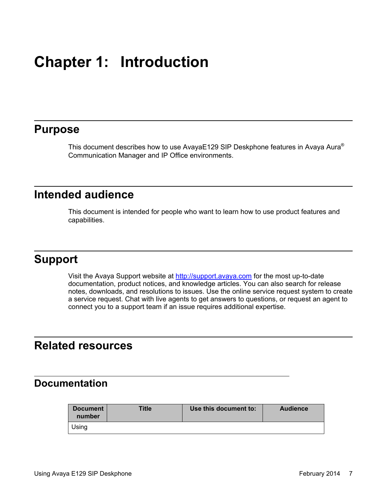# <span id="page-6-0"></span>**Chapter 1: Introduction**

## **Purpose**

This document describes how to use AvayaE129 SIP Deskphone features in Avaya Aura® Communication Manager and IP Office environments.

### **Intended audience**

This document is intended for people who want to learn how to use product features and capabilities.

# **Support**

Visit the Avaya Support website at <http://support.avaya.com> for the most up-to-date documentation, product notices, and knowledge articles. You can also search for release notes, downloads, and resolutions to issues. Use the online service request system to create a service request. Chat with live agents to get answers to questions, or request an agent to connect you to a support team if an issue requires additional expertise.

## **Related resources**

### **Documentation**

| <b>Document</b><br>number | <b>Title</b> | Use this document to: | <b>Audience</b> |
|---------------------------|--------------|-----------------------|-----------------|
| Using                     |              |                       |                 |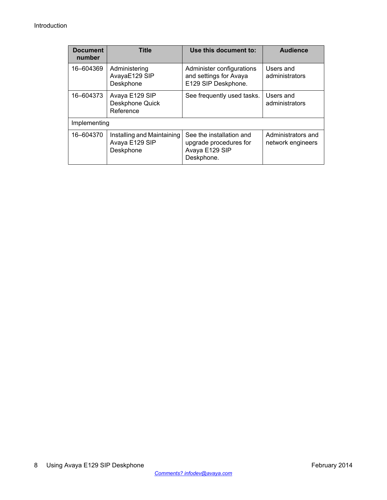| <b>Document</b><br>number | <b>Title</b>                                              | Use this document to:                                                              | <b>Audience</b>                         |
|---------------------------|-----------------------------------------------------------|------------------------------------------------------------------------------------|-----------------------------------------|
| 16-604369                 | Administering<br>AvayaE129 SIP<br>Deskphone               | Administer configurations<br>and settings for Avaya<br>E129 SIP Deskphone.         | Users and<br>administrators             |
| 16-604373                 | Avaya E129 SIP<br>Deskphone Quick<br>Reference            | See frequently used tasks.                                                         | Users and<br>administrators             |
| Implementing              |                                                           |                                                                                    |                                         |
| 16-604370                 | Installing and Maintaining<br>Avaya E129 SIP<br>Deskphone | See the installation and<br>upgrade procedures for<br>Avaya E129 SIP<br>Deskphone. | Administrators and<br>network engineers |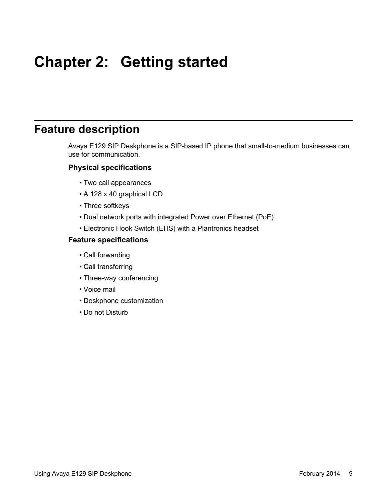# <span id="page-8-0"></span>**Chapter 2: Getting started**

## **Feature description**

Avaya E129 SIP Deskphone is a SIP-based IP phone that small-to-medium businesses can use for communication.

#### **Physical specifications**

- Two call appearances
- A 128 x 40 graphical LCD
- Three softkeys
- Dual network ports with integrated Power over Ethernet (PoE)
- Electronic Hook Switch (EHS) with a Plantronics headset

#### **Feature specifications**

- Call forwarding
- Call transferring
- Three-way conferencing
- Voice mail
- Deskphone customization
- Do not Disturb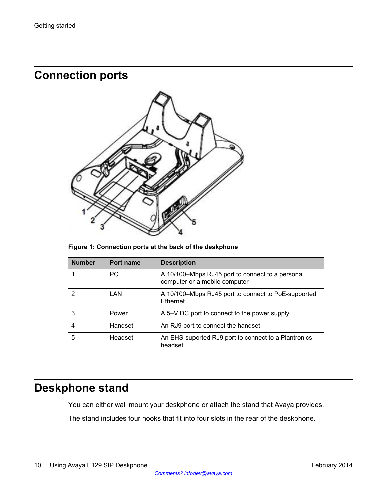# <span id="page-9-0"></span>**Connection ports**



**Figure 1: Connection ports at the back of the deskphone**

| <b>Number</b> | Port name | <b>Description</b>                                                                |
|---------------|-----------|-----------------------------------------------------------------------------------|
|               | <b>PC</b> | A 10/100–Mbps RJ45 port to connect to a personal<br>computer or a mobile computer |
| 2             | LAN       | A 10/100–Mbps RJ45 port to connect to PoE-supported<br>Ethernet                   |
| 3             | Power     | A 5–V DC port to connect to the power supply                                      |
| 4             | Handset   | An RJ9 port to connect the handset                                                |
| 5             | Headset   | An EHS-suported RJ9 port to connect to a Plantronics<br>headset                   |

## **Deskphone stand**

You can either wall mount your deskphone or attach the stand that Avaya provides.

The stand includes four hooks that fit into four slots in the rear of the deskphone.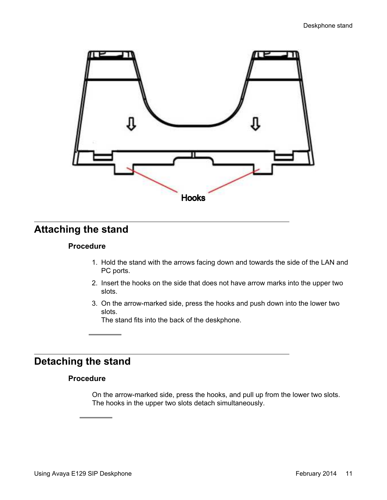<span id="page-10-0"></span>

### **Attaching the stand**

#### **Procedure**

- 1. Hold the stand with the arrows facing down and towards the side of the LAN and PC ports.
- 2. Insert the hooks on the side that does not have arrow marks into the upper two slots.
- 3. On the arrow-marked side, press the hooks and push down into the lower two slots.

The stand fits into the back of the deskphone.

### **Detaching the stand**

#### **Procedure**

On the arrow-marked side, press the hooks, and pull up from the lower two slots. The hooks in the upper two slots detach simultaneously.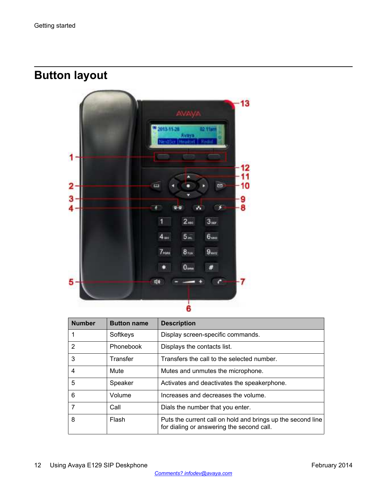# <span id="page-11-0"></span>**Button layout**



| <b>Number</b> | <b>Button name</b> | <b>Description</b>                                                                                       |
|---------------|--------------------|----------------------------------------------------------------------------------------------------------|
| 1             | Softkeys           | Display screen-specific commands.                                                                        |
| $\mathcal{P}$ | Phonebook          | Displays the contacts list.                                                                              |
| 3             | Transfer           | Transfers the call to the selected number.                                                               |
| 4             | Mute               | Mutes and unmutes the microphone.                                                                        |
| 5             | Speaker            | Activates and deactivates the speakerphone.                                                              |
| 6             | Volume             | Increases and decreases the volume.                                                                      |
| 7             | Call               | Dials the number that you enter.                                                                         |
| 8             | Flash              | Puts the current call on hold and brings up the second line<br>for dialing or answering the second call. |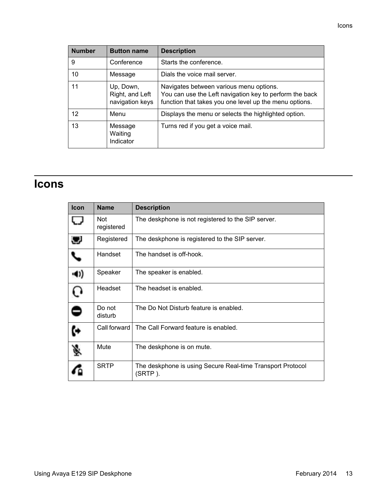<span id="page-12-0"></span>

| <b>Number</b> | <b>Button name</b>                              | <b>Description</b>                                                                                                                                           |
|---------------|-------------------------------------------------|--------------------------------------------------------------------------------------------------------------------------------------------------------------|
| 9             | Conference                                      | Starts the conference.                                                                                                                                       |
| 10            | Message                                         | Dials the voice mail server.                                                                                                                                 |
| 11            | Up, Down,<br>Right, and Left<br>navigation keys | Navigates between various menu options.<br>You can use the Left navigation key to perform the back<br>function that takes you one level up the menu options. |
| 12            | Menu                                            | Displays the menu or selects the highlighted option.                                                                                                         |
| 13            | Message<br>Waiting<br>Indicator                 | Turns red if you get a voice mail.                                                                                                                           |

# **Icons**

| <b>Icon</b> | <b>Name</b>       | <b>Description</b>                                                       |
|-------------|-------------------|--------------------------------------------------------------------------|
| ◡           | Not<br>registered | The deskphone is not registered to the SIP server.                       |
| Ξ           | Registered        | The deskphone is registered to the SIP server.                           |
| ↓           | Handset           | The handset is off-hook.                                                 |
|             | Speaker           | The speaker is enabled.                                                  |
| O           | Headset           | The headset is enabled.                                                  |
| $\bullet$   | Do not<br>disturb | The Do Not Disturb feature is enabled.                                   |
|             | Call forward I    | The Call Forward feature is enabled.                                     |
|             | Mute              | The deskphone is on mute.                                                |
|             | <b>SRTP</b>       | The deskphone is using Secure Real-time Transport Protocol<br>$(SRTP)$ . |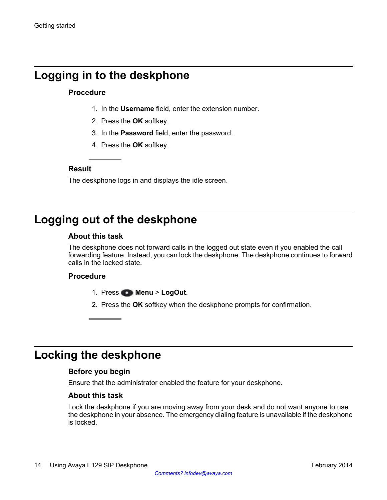# <span id="page-13-0"></span>**Logging in to the deskphone**

#### **Procedure**

- 1. In the **Username** field, enter the extension number.
- 2. Press the **OK** softkey.
- 3. In the **Password** field, enter the password.
- 4. Press the **OK** softkey.

#### **Result**

The deskphone logs in and displays the idle screen.

# **Logging out of the deskphone**

#### **About this task**

The deskphone does not forward calls in the logged out state even if you enabled the call forwarding feature. Instead, you can lock the deskphone. The deskphone continues to forward calls in the locked state.

#### **Procedure**

- 1. Press **Menu** > **LogOut**.
- 2. Press the **OK** softkey when the deskphone prompts for confirmation.

### **Locking the deskphone**

#### **Before you begin**

Ensure that the administrator enabled the feature for your deskphone.

#### **About this task**

Lock the deskphone if you are moving away from your desk and do not want anyone to use the deskphone in your absence. The emergency dialing feature is unavailable if the deskphone is locked.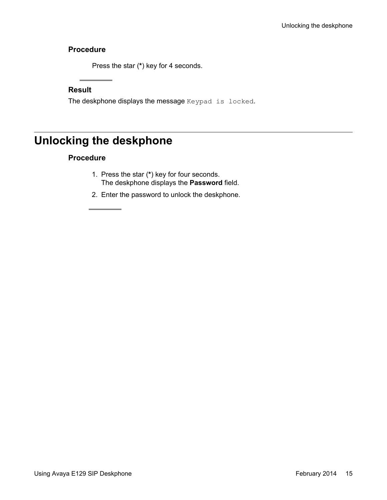#### <span id="page-14-0"></span>**Procedure**

Press the star (**\***) key for 4 seconds.

#### **Result**

The deskphone displays the message Keypad is locked.

# **Unlocking the deskphone**

- 1. Press the star (**\***) key for four seconds. The deskphone displays the **Password** field.
- 2. Enter the password to unlock the deskphone.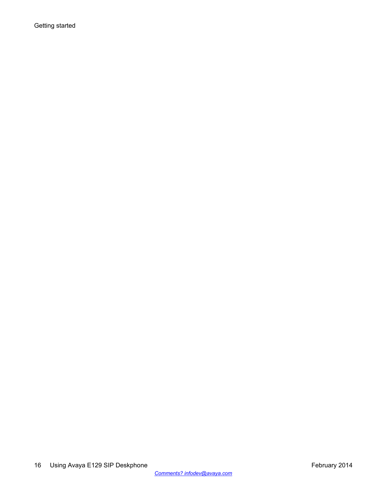Getting started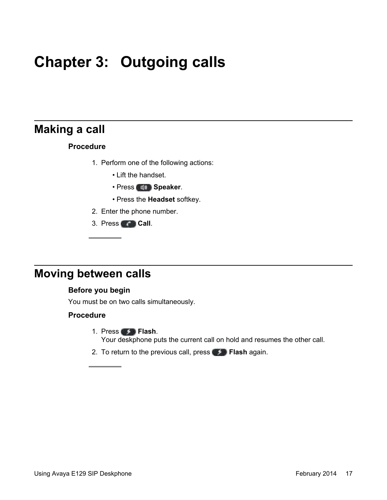# <span id="page-16-0"></span>**Chapter 3: Outgoing calls**

# **Making a call**

#### **Procedure**

- 1. Perform one of the following actions:
	- Lift the handset.
	- Press **Speaker**.
	- Press the **Headset** softkey.
- 2. Enter the phone number.
- 3. Press **Call**.

# **Moving between calls**

#### **Before you begin**

You must be on two calls simultaneously.

#### **Procedure**

1. Press **Flash**.

Your deskphone puts the current call on hold and resumes the other call.

2. To return to the previous call, press **Flash** again.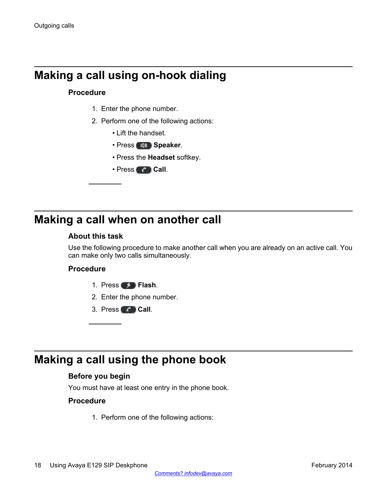# <span id="page-17-0"></span>**Making a call using on-hook dialing**

#### **Procedure**

- 1. Enter the phone number.
- 2. Perform one of the following actions:
	- Lift the handset.
	- Press **Speaker**.
	- Press the **Headset** softkey.
	- Press **Call**.

# **Making a call when on another call**

#### **About this task**

Use the following procedure to make another call when you are already on an active call. You can make only two calls simultaneously.

#### **Procedure**



- 2. Enter the phone number.
- 3. Press **Call**.

## **Making a call using the phone book**

#### **Before you begin**

You must have at least one entry in the phone book.

#### **Procedure**

1. Perform one of the following actions: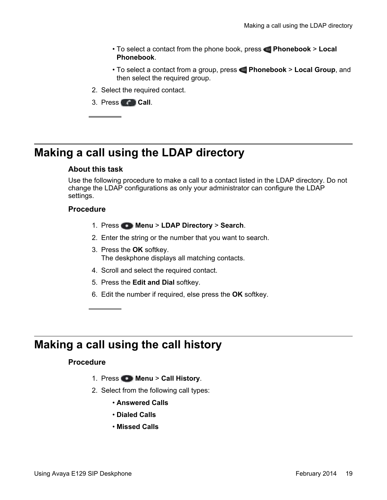- <span id="page-18-0"></span>• To select a contact from the phone book, press **Phonebook** > **Local Phonebook**.
- To select a contact from a group, press **Phonebook** > **Local Group**, and then select the required group.
- 2. Select the required contact.



# **Making a call using the LDAP directory**

#### **About this task**

Use the following procedure to make a call to a contact listed in the LDAP directory. Do not change the LDAP configurations as only your administrator can configure the LDAP settings.

#### **Procedure**

- 1. Press **Menu** > **LDAP Directory** > **Search**.
- 2. Enter the string or the number that you want to search.
- 3. Press the **OK** softkey. The deskphone displays all matching contacts.
- 4. Scroll and select the required contact.
- 5. Press the **Edit and Dial** softkey.
- 6. Edit the number if required, else press the **OK** softkey.

# **Making a call using the call history**

- 1. Press **Menu** > **Call History**.
- 2. Select from the following call types:
	- **Answered Calls**
	- **Dialed Calls**
	- **Missed Calls**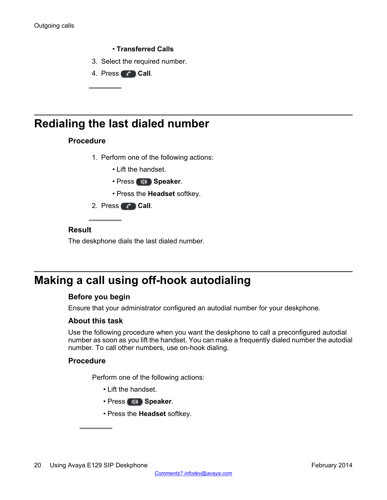#### • **Transferred Calls**

- <span id="page-19-0"></span>3. Select the required number.
- 4. Press **Call**.

## **Redialing the last dialed number**

#### **Procedure**

- 1. Perform one of the following actions:
	- Lift the handset.
	- Press **Con Speaker**.
	- Press the **Headset** softkey.
- 2. Press **Call**.

#### **Result**

The deskphone dials the last dialed number.

# **Making a call using off-hook autodialing**

#### **Before you begin**

Ensure that your administrator configured an autodial number for your deskphone.

#### **About this task**

Use the following procedure when you want the deskphone to call a preconfigured autodial number as soon as you lift the handset. You can make a frequently dialed number the autodial number. To call other numbers, use on-hook dialing.

#### **Procedure**

Perform one of the following actions:

- Lift the handset.
- Press **Speaker**.
- Press the **Headset** softkey.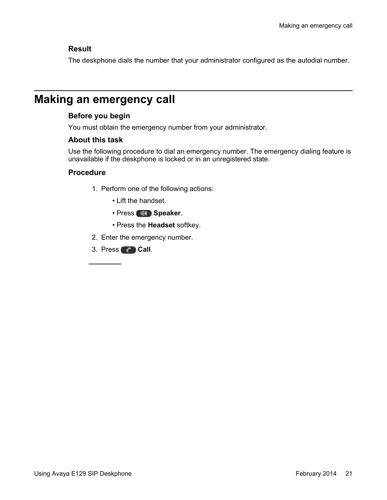#### <span id="page-20-0"></span>**Result**

The deskphone dials the number that your administrator configured as the autodial number.

# **Making an emergency call**

#### **Before you begin**

You must obtain the emergency number from your administrator.

#### **About this task**

Use the following procedure to dial an emergency number. The emergency dialing feature is unavailable if the deskphone is locked or in an unregistered state.

- 1. Perform one of the following actions:
	- Lift the handset.
	- Press **Cond Speaker**.
	- Press the **Headset** softkey.
- 2. Enter the emergency number.
- 3. Press **Call**.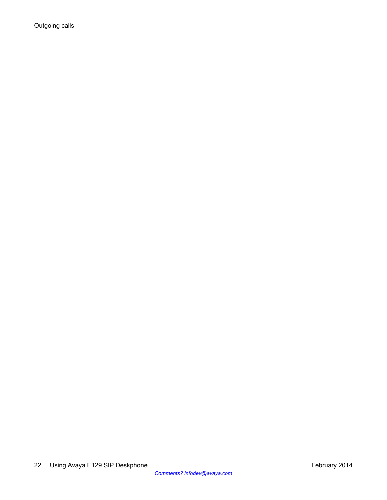Outgoing calls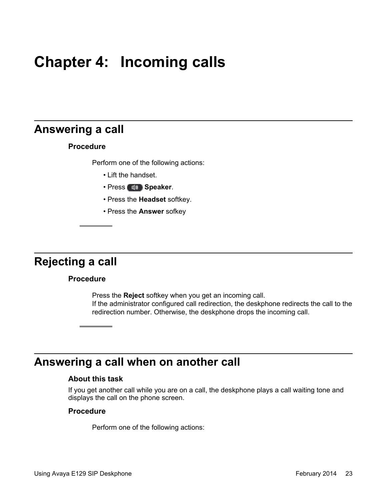# <span id="page-22-0"></span>**Chapter 4: Incoming calls**

### **Answering a call**

#### **Procedure**

Perform one of the following actions:

- Lift the handset.
- Press **Speaker**.
- Press the **Headset** softkey.
- Press the **Answer** sofkey

# **Rejecting a call**

#### **Procedure**

Press the **Reject** softkey when you get an incoming call. If the administrator configured call redirection, the deskphone redirects the call to the redirection number. Otherwise, the deskphone drops the incoming call.

## **Answering a call when on another call**

#### **About this task**

If you get another call while you are on a call, the deskphone plays a call waiting tone and displays the call on the phone screen.

#### **Procedure**

Perform one of the following actions: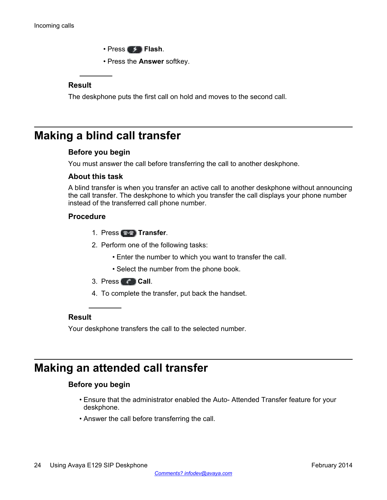- Press **Flash**.
- Press the **Answer** softkey.

#### <span id="page-23-0"></span>**Result**

The deskphone puts the first call on hold and moves to the second call.

## **Making a blind call transfer**

#### **Before you begin**

You must answer the call before transferring the call to another deskphone.

#### **About this task**

A blind transfer is when you transfer an active call to another deskphone without announcing the call transfer. The deskphone to which you transfer the call displays your phone number instead of the transferred call phone number.

#### **Procedure**

- 1. Press **Transfer.**
- 2. Perform one of the following tasks:
	- Enter the number to which you want to transfer the call.
	- Select the number from the phone book.
- 3. Press **Call**.
- 4. To complete the transfer, put back the handset.

#### **Result**

Your deskphone transfers the call to the selected number.

### **Making an attended call transfer**

#### **Before you begin**

- Ensure that the administrator enabled the Auto- Attended Transfer feature for your deskphone.
- Answer the call before transferring the call.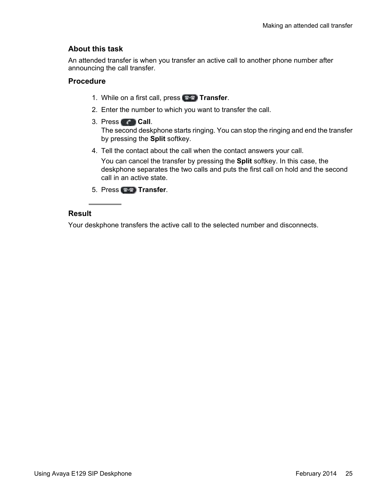#### **About this task**

An attended transfer is when you transfer an active call to another phone number after announcing the call transfer.

#### **Procedure**

- 1. While on a first call, press **Transfer.**
- 2. Enter the number to which you want to transfer the call.
- 3. Press **Call**.

The second deskphone starts ringing. You can stop the ringing and end the transfer by pressing the **Split** softkey.

4. Tell the contact about the call when the contact answers your call.

You can cancel the transfer by pressing the **Split** softkey. In this case, the deskphone separates the two calls and puts the first call on hold and the second call in an active state.

5. Press **Transfer**.

#### **Result**

Your deskphone transfers the active call to the selected number and disconnects.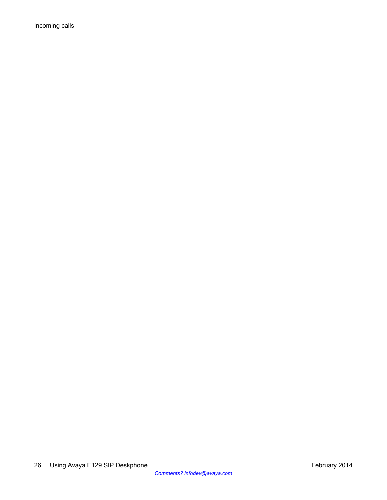Incoming calls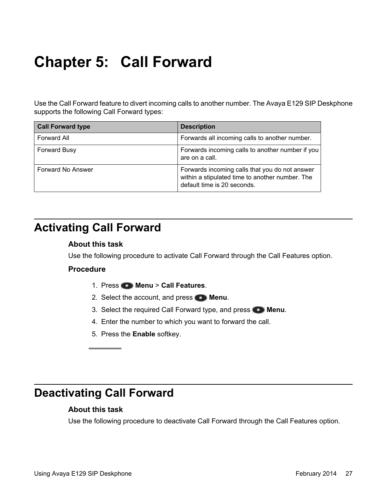# <span id="page-26-0"></span>**Chapter 5: Call Forward**

Use the Call Forward feature to divert incoming calls to another number. The Avaya E129 SIP Deskphone supports the following Call Forward types:

| <b>Call Forward type</b> | <b>Description</b>                                                                                                               |
|--------------------------|----------------------------------------------------------------------------------------------------------------------------------|
| Forward All              | Forwards all incoming calls to another number.                                                                                   |
| <b>Forward Busy</b>      | Forwards incoming calls to another number if you<br>are on a call.                                                               |
| Forward No Answer        | Forwards incoming calls that you do not answer<br>within a stipulated time to another number. The<br>default time is 20 seconds. |

## **Activating Call Forward**

#### **About this task**

Use the following procedure to activate Call Forward through the Call Features option.

#### **Procedure**

- 1. Press **Menu** > **Call Features**.
- 2. Select the account, and press **COMenu.**
- 3. Select the required Call Forward type, and press **Menu**.
- 4. Enter the number to which you want to forward the call.
- 5. Press the **Enable** softkey.

# **Deactivating Call Forward**

#### **About this task**

Use the following procedure to deactivate Call Forward through the Call Features option.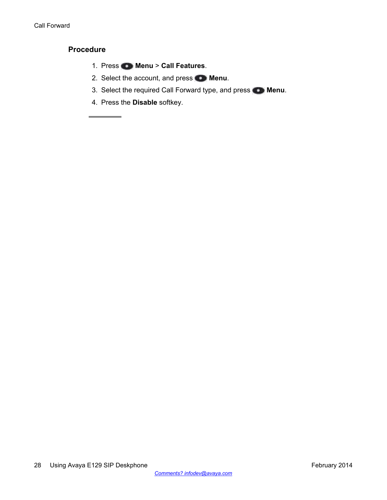- 1. Press **Menu** > **Call Features**.
- 2. Select the account, and press **Menu**.
- 3. Select the required Call Forward type, and press **Menu**.
- 4. Press the **Disable** softkey.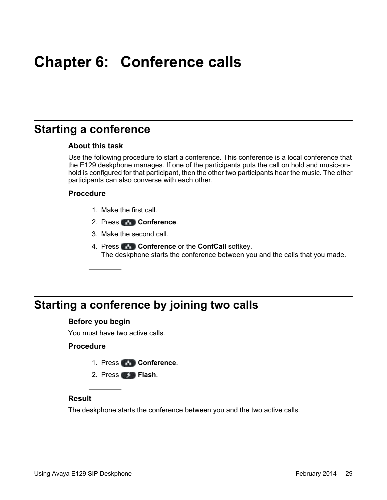# <span id="page-28-0"></span>**Chapter 6: Conference calls**

### **Starting a conference**

#### **About this task**

Use the following procedure to start a conference. This conference is a local conference that the E129 deskphone manages. If one of the participants puts the call on hold and music-onhold is configured for that participant, then the other two participants hear the music. The other participants can also converse with each other.

#### **Procedure**

- 1. Make the first call.
- 2. Press **Conference**.
- 3. Make the second call.
- 4. Press **Conference** or the **ConfCall** softkey. The deskphone starts the conference between you and the calls that you made.

# **Starting a conference by joining two calls**

#### **Before you begin**

You must have two active calls.

#### **Procedure**

- 1. Press **Conference**.
- 2. Press **Flash**.

#### **Result**

The deskphone starts the conference between you and the two active calls.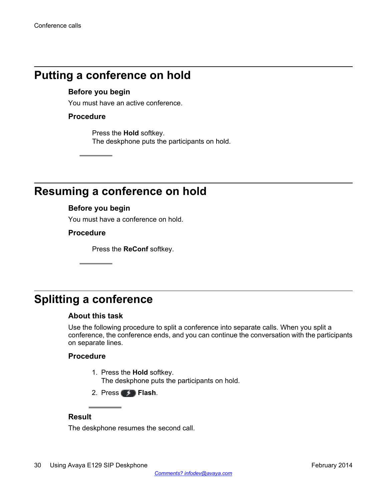# <span id="page-29-0"></span>**Putting a conference on hold**

#### **Before you begin**

You must have an active conference.

#### **Procedure**

Press the **Hold** softkey. The deskphone puts the participants on hold.

## **Resuming a conference on hold**

#### **Before you begin**

You must have a conference on hold.

#### **Procedure**

Press the **ReConf** softkey.

## **Splitting a conference**

#### **About this task**

Use the following procedure to split a conference into separate calls. When you split a conference, the conference ends, and you can continue the conversation with the participants on separate lines.

#### **Procedure**

- 1. Press the **Hold** softkey. The deskphone puts the participants on hold.
- 2. Press **Flash**.

#### **Result**

The deskphone resumes the second call.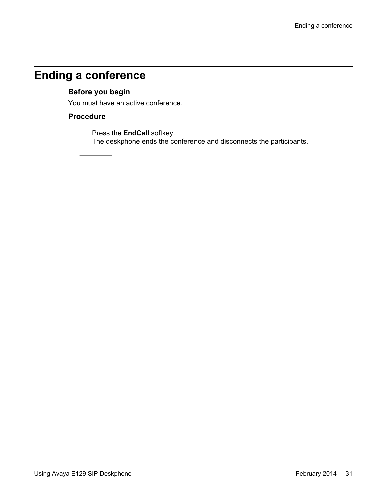# <span id="page-30-0"></span>**Ending a conference**

#### **Before you begin**

You must have an active conference.

#### **Procedure**

Press the **EndCall** softkey. The deskphone ends the conference and disconnects the participants.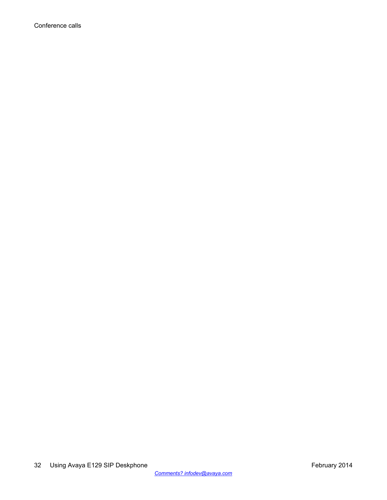Conference calls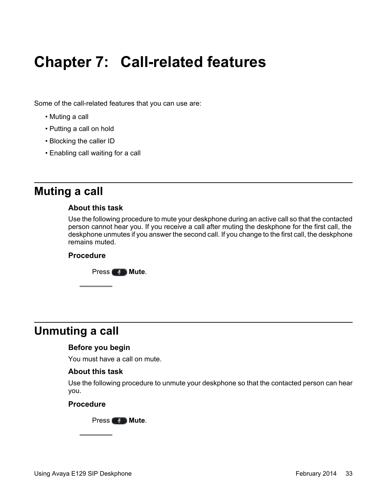# <span id="page-32-0"></span>**Chapter 7: Call-related features**

Some of the call-related features that you can use are:

- Muting a call
- Putting a call on hold
- Blocking the caller ID
- Enabling call waiting for a call

### **Muting a call**

#### **About this task**

Use the following procedure to mute your deskphone during an active call so that the contacted person cannot hear you. If you receive a call after muting the deskphone for the first call, the deskphone unmutes if you answer the second call. If you change to the first call, the deskphone remains muted.

#### **Procedure**



## **Unmuting a call**

#### **Before you begin**

You must have a call on mute.

#### **About this task**

Use the following procedure to unmute your deskphone so that the contacted person can hear you.

#### **Procedure**

Press **Mute**.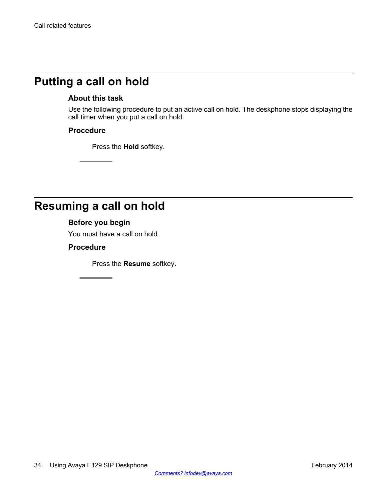# <span id="page-33-0"></span>**Putting a call on hold**

#### **About this task**

Use the following procedure to put an active call on hold. The deskphone stops displaying the call timer when you put a call on hold.

#### **Procedure**

Press the **Hold** softkey.

**Resuming a call on hold**

#### **Before you begin**

You must have a call on hold.

#### **Procedure**

Press the **Resume** softkey.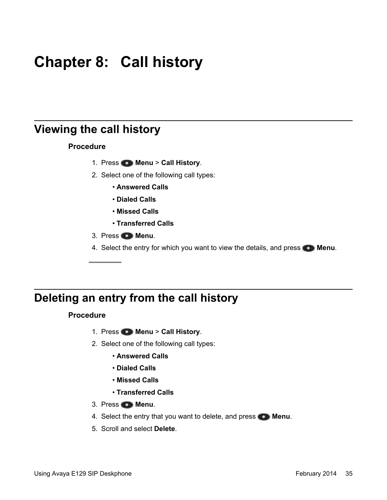# <span id="page-34-0"></span>**Chapter 8: Call history**

# **Viewing the call history**

#### **Procedure**

- 1. Press **Menu** > **Call History**.
- 2. Select one of the following call types:
	- **Answered Calls**
	- **Dialed Calls**
	- **Missed Calls**
	- **Transferred Calls**
- 3. Press **Menu**.
- 4. Select the entry for which you want to view the details, and press **COMenu.**

# **Deleting an entry from the call history**

- 1. Press **Menu** > **Call History**.
- 2. Select one of the following call types:
	- **Answered Calls**
	- **Dialed Calls**
	- **Missed Calls**
	- **Transferred Calls**
- 3. Press **Menu**.
- 4. Select the entry that you want to delete, and press **CO** Menu.
- 5. Scroll and select **Delete**.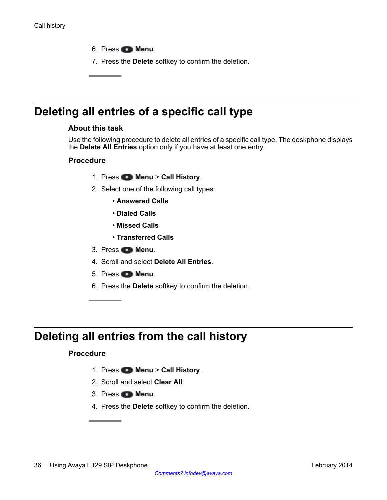- <span id="page-35-0"></span>6. Press **Menu**.
- 7. Press the **Delete** softkey to confirm the deletion.

# **Deleting all entries of a specific call type**

#### **About this task**

Use the following procedure to delete all entries of a specific call type. The deskphone displays the **Delete All Entries** option only if you have at least one entry.

#### **Procedure**

- 1. Press **Menu** > **Call History**.
- 2. Select one of the following call types:
	- **Answered Calls**
	- **Dialed Calls**
	- **Missed Calls**
	- **Transferred Calls**
- 3. Press **Menu**.
- 4. Scroll and select **Delete All Entries**.
- 5. Press **Menu**.
- 6. Press the **Delete** softkey to confirm the deletion.

## **Deleting all entries from the call history**

- 1. Press **Menu** > **Call History**.
- 2. Scroll and select **Clear All**.
- 3. Press **Menu**.
- 4. Press the **Delete** softkey to confirm the deletion.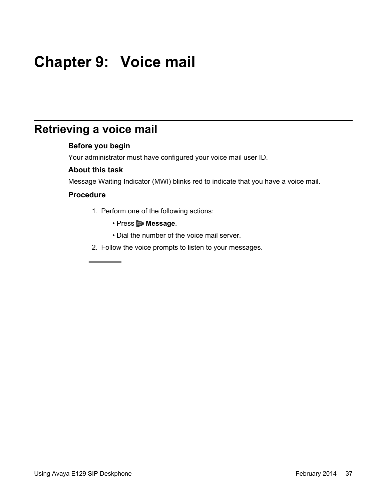# <span id="page-36-0"></span>**Chapter 9: Voice mail**

# **Retrieving a voice mail**

#### **Before you begin**

Your administrator must have configured your voice mail user ID.

#### **About this task**

Message Waiting Indicator (MWI) blinks red to indicate that you have a voice mail.

- 1. Perform one of the following actions:
	- Press **Message**.
	- Dial the number of the voice mail server.
- 2. Follow the voice prompts to listen to your messages.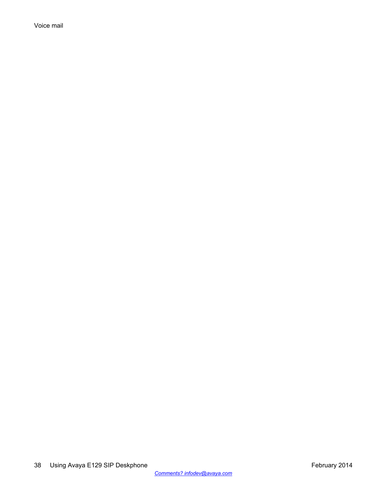Voice mail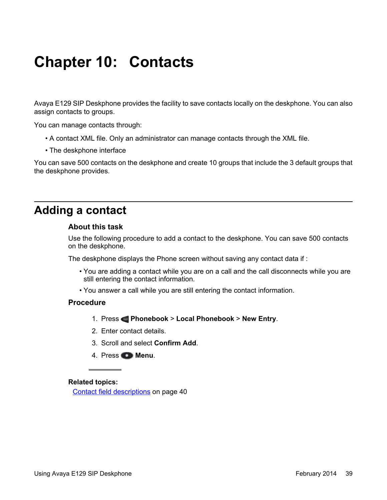# <span id="page-38-0"></span>**Chapter 10: Contacts**

Avaya E129 SIP Deskphone provides the facility to save contacts locally on the deskphone. You can also assign contacts to groups.

You can manage contacts through:

- A contact XML file. Only an administrator can manage contacts through the XML file.
- The deskphone interface

You can save 500 contacts on the deskphone and create 10 groups that include the 3 default groups that the deskphone provides.

## **Adding a contact**

#### **About this task**

Use the following procedure to add a contact to the deskphone. You can save 500 contacts on the deskphone.

The deskphone displays the Phone screen without saving any contact data if :

- You are adding a contact while you are on a call and the call disconnects while you are still entering the contact information.
- You answer a call while you are still entering the contact information.

#### **Procedure**

- 1. Press **Phonebook** > **Local Phonebook** > **New Entry**.
- 2. Enter contact details.
- 3. Scroll and select **Confirm Add**.
- 4. Press **Menu**.

#### **Related topics:**

[Contact field descriptions](#page-39-0) on page 40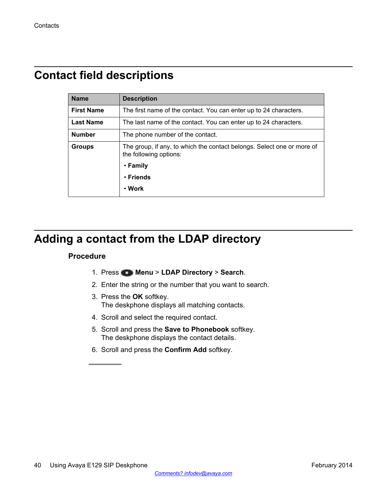# <span id="page-39-0"></span>**Contact field descriptions**

| <b>Description</b>                                                                               |  |  |
|--------------------------------------------------------------------------------------------------|--|--|
| The first name of the contact. You can enter up to 24 characters.                                |  |  |
| The last name of the contact. You can enter up to 24 characters.                                 |  |  |
| The phone number of the contact.                                                                 |  |  |
| The group, if any, to which the contact belongs. Select one or more of<br>the following options: |  |  |
| $\cdot$ Family                                                                                   |  |  |
| • Friends                                                                                        |  |  |
| • Work                                                                                           |  |  |
|                                                                                                  |  |  |

# **Adding a contact from the LDAP directory**

- 1. Press **Menu** > **LDAP Directory** > **Search**.
- 2. Enter the string or the number that you want to search.
- 3. Press the **OK** softkey. The deskphone displays all matching contacts.
- 4. Scroll and select the required contact.
- 5. Scroll and press the **Save to Phonebook** softkey. The deskphone displays the contact details.
- 6. Scroll and press the **Confirm Add** softkey.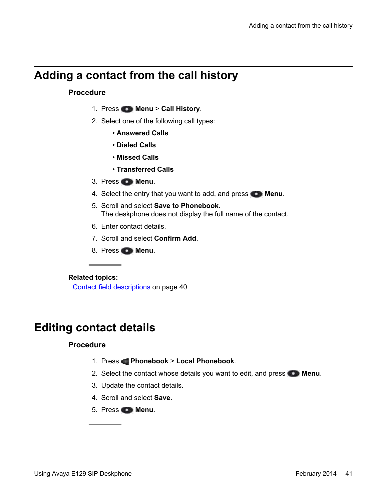# <span id="page-40-0"></span>**Adding a contact from the call history**

#### **Procedure**

- 1. Press **Menu** > **Call History**.
- 2. Select one of the following call types:
	- **Answered Calls**
	- **Dialed Calls**
	- **Missed Calls**
	- **Transferred Calls**
- 3. Press **Menu**.
- 4. Select the entry that you want to add, and press **Menu**.
- 5. Scroll and select **Save to Phonebook**. The deskphone does not display the full name of the contact.
- 6. Enter contact details.
- 7. Scroll and select **Confirm Add**.
- 8. Press **Menu**.

#### **Related topics:**

[Contact field descriptions](#page-39-0) on page 40

## **Editing contact details**

- 1. Press **Phonebook** > **Local Phonebook**.
- 2. Select the contact whose details you want to edit, and press **COMET Menu**.
- 3. Update the contact details.
- 4. Scroll and select **Save**.
- 5. Press **Menu**.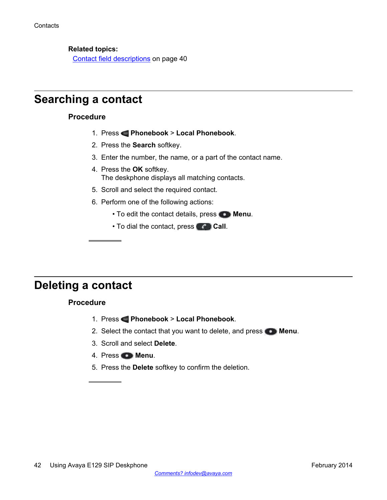#### <span id="page-41-0"></span>**Related topics:**

[Contact field descriptions](#page-39-0) on page 40

## **Searching a contact**

#### **Procedure**

- 1. Press **Phonebook** > **Local Phonebook**.
- 2. Press the **Search** softkey.
- 3. Enter the number, the name, or a part of the contact name.
- 4. Press the **OK** softkey. The deskphone displays all matching contacts.
- 5. Scroll and select the required contact.
- 6. Perform one of the following actions:
	- To edit the contact details, press **COMenu.**
	- To dial the contact, press **Call**.

### **Deleting a contact**

- 1. Press **Phonebook** > **Local Phonebook**.
- 2. Select the contact that you want to delete, and press **Menu**.
- 3. Scroll and select **Delete**.
- 4. Press **Menu**.
- 5. Press the **Delete** softkey to confirm the deletion.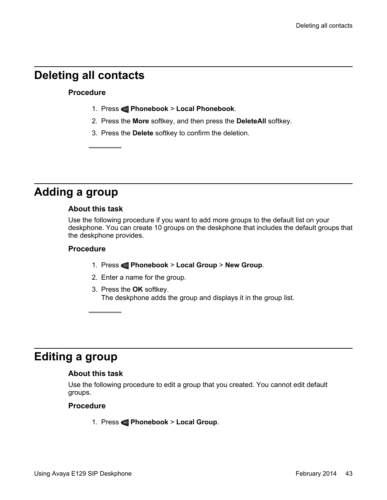## <span id="page-42-0"></span>**Deleting all contacts**

#### **Procedure**

- 1. Press **Phonebook** > **Local Phonebook**.
- 2. Press the **More** softkey, and then press the **DeleteAll** softkey.
- 3. Press the **Delete** softkey to confirm the deletion.

## **Adding a group**

#### **About this task**

Use the following procedure if you want to add more groups to the default list on your deskphone. You can create 10 groups on the deskphone that includes the default groups that the deskphone provides.

#### **Procedure**

- 1. Press **Phonebook** > **Local Group** > **New Group**.
- 2. Enter a name for the group.
- 3. Press the **OK** softkey. The deskphone adds the group and displays it in the group list.

## **Editing a group**

#### **About this task**

Use the following procedure to edit a group that you created. You cannot edit default groups.

#### **Procedure**

1. Press **Phonebook** > **Local Group**.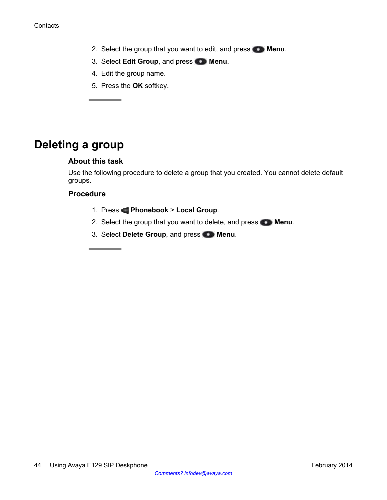- <span id="page-43-0"></span>2. Select the group that you want to edit, and press **Menu**.
- 3. Select Edit Group, and press **COMED** Menu.
- 4. Edit the group name.
- 5. Press the **OK** softkey.

# **Deleting a group**

#### **About this task**

Use the following procedure to delete a group that you created. You cannot delete default groups.

- 1. Press **Phonebook** > **Local Group**.
- 2. Select the group that you want to delete, and press **Menu**.
- 3. Select Delete Group, and press **CO** Menu.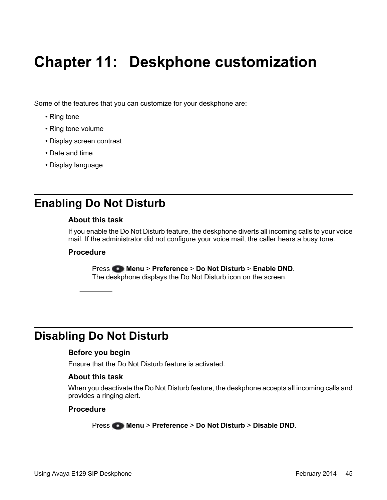# <span id="page-44-0"></span>**Chapter 11: Deskphone customization**

Some of the features that you can customize for your deskphone are:

- Ring tone
- Ring tone volume
- Display screen contrast
- Date and time
- Display language

# **Enabling Do Not Disturb**

#### **About this task**

If you enable the Do Not Disturb feature, the deskphone diverts all incoming calls to your voice mail. If the administrator did not configure your voice mail, the caller hears a busy tone.

#### **Procedure**

Press **Menu** > **Preference** > **Do Not Disturb** > **Enable DND**. The deskphone displays the Do Not Disturb icon on the screen.

## **Disabling Do Not Disturb**

#### **Before you begin**

Ensure that the Do Not Disturb feature is activated.

#### **About this task**

When you deactivate the Do Not Disturb feature, the deskphone accepts all incoming calls and provides a ringing alert.

#### **Procedure**

Press **Menu** > **Preference** > **Do Not Disturb** > **Disable DND**.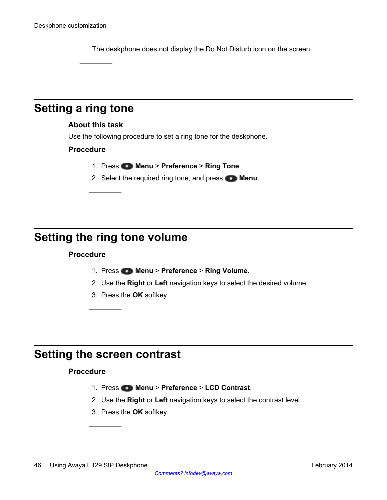<span id="page-45-0"></span>The deskphone does not display the Do Not Disturb icon on the screen.

## **Setting a ring tone**

#### **About this task**

Use the following procedure to set a ring tone for the deskphone.

#### **Procedure**

- 1. Press **Menu** > **Preference** > **Ring Tone**.
- 2. Select the required ring tone, and press **COMENCION**

### **Setting the ring tone volume**

#### **Procedure**

- 1. Press **Menu** > **Preference** > **Ring Volume**.
- 2. Use the **Right** or **Left** navigation keys to select the desired volume.
- 3. Press the **OK** softkey.

# **Setting the screen contrast**

- 1. Press **Menu** > **Preference** > **LCD Contrast**.
- 2. Use the **Right** or **Left** navigation keys to select the contrast level.
- 3. Press the **OK** softkey.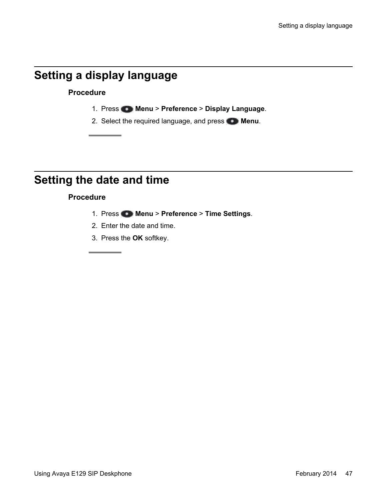# <span id="page-46-0"></span>**Setting a display language**

#### **Procedure**

- 1. Press **Menu** > **Preference** > **Display Language**.
- 2. Select the required language, and press **Menu**.

# **Setting the date and time**

- 1. Press **Menu** > **Preference** > **Time Settings**.
- 2. Enter the date and time.
- 3. Press the **OK** softkey.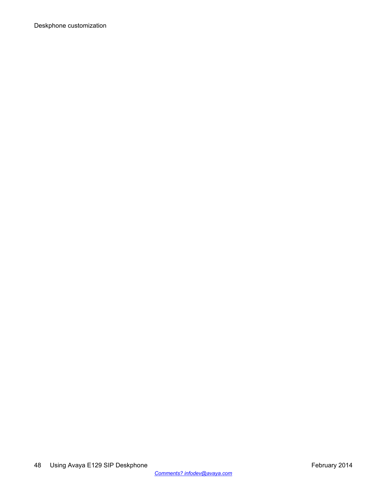Deskphone customization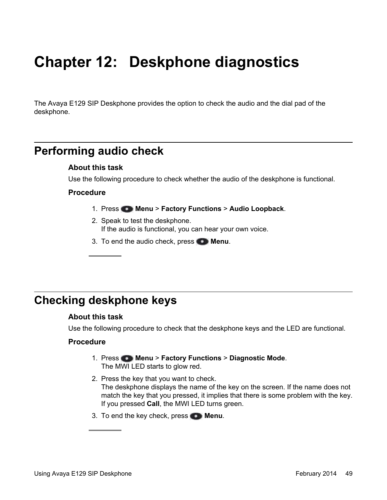# <span id="page-48-0"></span>**Chapter 12: Deskphone diagnostics**

The Avaya E129 SIP Deskphone provides the option to check the audio and the dial pad of the deskphone.

## **Performing audio check**

#### **About this task**

Use the following procedure to check whether the audio of the deskphone is functional.

#### **Procedure**

- 1. Press **Menu** > **Factory Functions** > **Audio Loopback**.
- 2. Speak to test the deskphone. If the audio is functional, you can hear your own voice.
- 3. To end the audio check, press **Menu**.

## **Checking deskphone keys**

#### **About this task**

Use the following procedure to check that the deskphone keys and the LED are functional.

- 1. Press **Menu** > **Factory Functions** > **Diagnostic Mode**. The MWI LED starts to glow red.
- 2. Press the key that you want to check. The deskphone displays the name of the key on the screen. If the name does not match the key that you pressed, it implies that there is some problem with the key. If you pressed **Call**, the MWI LED turns green.
- 3. To end the key check, press **Menu**.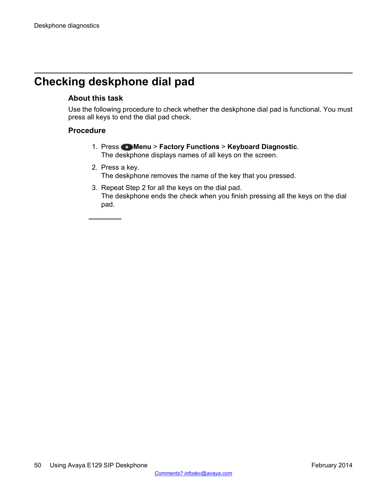# <span id="page-49-0"></span>**Checking deskphone dial pad**

#### **About this task**

Use the following procedure to check whether the deskphone dial pad is functional. You must press all keys to end the dial pad check.

- 1. Press **Menu** > **Factory Functions** > **Keyboard Diagnostic**. The deskphone displays names of all keys on the screen.
- 2. Press a key. The deskphone removes the name of the key that you pressed.
- 3. Repeat Step 2 for all the keys on the dial pad. The deskphone ends the check when you finish pressing all the keys on the dial pad.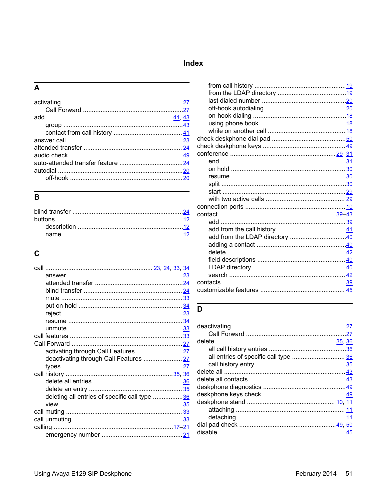#### Index

### <span id="page-50-0"></span> $\overline{A}$

### $\overline{B}$

# $\overline{\mathbf{c}}$

| deleting all entries of specific call type 36 |  |
|-----------------------------------------------|--|
|                                               |  |
|                                               |  |
|                                               |  |
|                                               |  |
|                                               |  |
|                                               |  |

### $\overline{\mathsf{D}}$

| all entries of specific call type  36 |  |
|---------------------------------------|--|
|                                       |  |
|                                       |  |
|                                       |  |
|                                       |  |
|                                       |  |
|                                       |  |
|                                       |  |
|                                       |  |
|                                       |  |
|                                       |  |
|                                       |  |